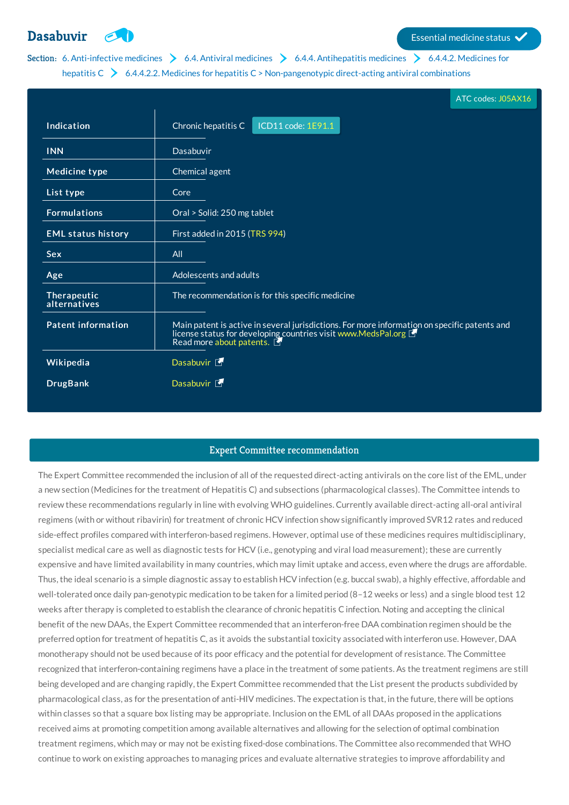# **[Dasabuvir](http://list.essentialmeds.org/medicines/493) Exercía de la contrada de la contrada de la contrada de la contrada de la contrada de la contrada de la contrada de la contrada de la contrada de la contrada de la contrada de la contrada de la contrada de la**

## Section: 6. [Anti-infective](http://list.essentialmeds.org/?section=332) [medicines](http://list.essentialmeds.org/?section=343)  $\geq 6.4$ . Antiviral medicines  $\geq 6.4.4$ . [Antihepatitis](http://list.essentialmeds.org/?section=352) medicines  $\geq 6.4.4.2$ . Medicines for hepatitis  $C \rightarrow 6.4.4.2.2$ . Medicines for hepatitis  $C >$  [Non-pangenotypic](http://list.essentialmeds.org/?section=355) direct-acting antiviral combinations

|                             | ATC codes: J05AX16                                                                                                                                                                        |  |
|-----------------------------|-------------------------------------------------------------------------------------------------------------------------------------------------------------------------------------------|--|
| Indication                  | Chronic hepatitis C<br>ICD11 code: 1E91.1                                                                                                                                                 |  |
| <b>INN</b>                  | Dasabuvir                                                                                                                                                                                 |  |
| <b>Medicine type</b>        | Chemical agent                                                                                                                                                                            |  |
| List type                   | Core                                                                                                                                                                                      |  |
| <b>Formulations</b>         | Oral > Solid: 250 mg tablet                                                                                                                                                               |  |
| <b>EML status history</b>   | First added in 2015 (TRS 994)                                                                                                                                                             |  |
| <b>Sex</b>                  | All                                                                                                                                                                                       |  |
| Age                         | Adolescents and adults                                                                                                                                                                    |  |
| Therapeutic<br>alternatives | The recommendation is for this specific medicine                                                                                                                                          |  |
| <b>Patent information</b>   | Main patent is active in several jurisdictions. For more information on specific patents and<br>license status for developing countries visit www.MedsPal.org<br>Read more about patents. |  |
| Wikipedia                   | Dasabuvir <sup>5</sup>                                                                                                                                                                    |  |
| <b>DrugBank</b>             | Dasabuvir <sup>[1]</sup>                                                                                                                                                                  |  |

### Expert Committee recommendation

The Expert Committee recommended the inclusion of all of the requested direct-acting antivirals on the core list of the EML, under a new section (Medicines for the treatment of Hepatitis C) and subsections (pharmacological classes). The Committee intends to review these recommendations regularly in line with evolving WHO guidelines. Currently available direct-acting all-oral antiviral regimens (with or without ribavirin) for treatment of chronic HCV infection show significantly improved SVR12 rates and reduced side-effect profiles compared with interferon-based regimens. However, optimal use of these medicines requires multidisciplinary, specialist medical care as well as diagnostic tests for HCV (i.e., genotyping and viral load measurement); these are currently expensive and have limited availability in many countries, which may limit uptake and access, even where the drugs are affordable. Thus, the ideal scenario is a simple diagnostic assay to establish HCV infection (e.g. buccal swab), a highly effective, affordable and well-tolerated once daily pan-genotypic medication to be taken for a limited period (8–12 weeks or less) and a single blood test 12 weeks after therapy is completed to establish the clearance of chronic hepatitis C infection. Noting and accepting the clinical benefit of the new DAAs, the Expert Committee recommended that an interferon-free DAA combination regimen should be the preferred option for treatment of hepatitis C, as it avoids the substantial toxicity associated with interferon use. However, DAA monotherapy should not be used because of its poor efficacy and the potential for development of resistance. The Committee recognized that interferon-containing regimens have a place in the treatment of some patients. As the treatment regimens are still being developed and are changing rapidly, the Expert Committee recommended that the List present the products subdivided by pharmacological class, as for the presentation of anti-HIV medicines. The expectation is that, in the future, there will be options within classes so that a square box listing may be appropriate. Inclusion on the EML of all DAAs proposed in the applications received aims at promoting competition among available alternatives and allowing for the selection of optimal combination treatment regimens, which may or may not be existing fixed-dose combinations. The Committee also recommended that WHO continue to work on existing approaches to managing prices and evaluate alternative strategies to improve affordability and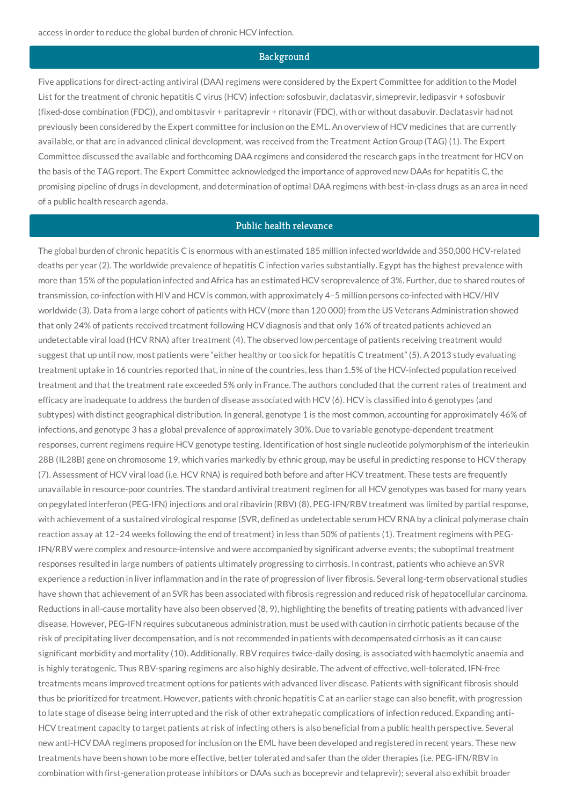#### **Background**

Five applications for direct-acting antiviral (DAA) regimens were considered by the Expert Committee for addition to the Model List for the treatment of chronic hepatitis C virus (HCV) infection: sofosbuvir, daclatasvir, simeprevir, ledipasvir + sofosbuvir (fixed-dose combination (FDC)), and ombitasvir + paritaprevir + ritonavir (FDC), with or without dasabuvir. Daclatasvir had not previously been considered by the Expert committee for inclusion on the EML. An overview of HCV medicines that are currently available, or that are in advanced clinical development, was received from the Treatment Action Group (TAG) (1). The Expert Committee discussed the available and forthcoming DAA regimens and considered the research gaps in the treatment for HCV on the basis of the TAG report. The Expert Committee acknowledged the importance of approved new DAAs for hepatitis C, the promising pipeline of drugs in development, and determination of optimal DAA regimens with best-in-class drugs as an area in need of a public health research agenda.

#### Public health relevance

The global burden of chronic hepatitis C is enormous with an estimated 185 million infected worldwide and 350,000 HCV-related deaths per year (2). The worldwide prevalence of hepatitis C infection varies substantially. Egypt has the highest prevalence with more than 15% of the population infected and Africa has an estimated HCV seroprevalence of 3%. Further, due to shared routes of transmission, co-infection with HIV and HCV is common, with approximately 4–5 million persons co-infected with HCV/HIV worldwide (3). Data from a large cohort of patients with HCV (more than 120 000) from the US Veterans Administration showed that only 24% of patients received treatment following HCV diagnosis and that only 16% of treated patients achieved an undetectable viral load (HCV RNA) after treatment (4). The observed low percentage of patients receiving treatment would suggest that up until now, most patients were "either healthy or too sick for hepatitis C treatment"(5). A 2013 study evaluating treatment uptake in 16 countries reported that, in nine of the countries, less than 1.5% of the HCV-infected population received treatment and that the treatment rate exceeded 5% only in France. The authors concluded that the current rates of treatment and efficacy are inadequate to address the burden of disease associated with HCV (6). HCV is classified into 6 genotypes (and subtypes) with distinct geographical distribution. In general, genotype 1 is the most common, accounting for approximately 46% of infections, and genotype 3 has a global prevalence of approximately 30%. Due to variable genotype-dependent treatment responses, current regimens require HCV genotype testing. Identification of host single nucleotide polymorphism of the interleukin 28B (IL28B) gene on chromosome 19, which varies markedly by ethnic group, may be useful in predicting response to HCV therapy (7). Assessment of HCV viral load (i.e. HCV RNA) is required both before and after HCV treatment. These tests are frequently unavailable in resource-poor countries. The standard antiviral treatment regimen for all HCV genotypes was based for many years on pegylated interferon (PEG-IFN) injections and oral ribavirin (RBV) (8). PEG-IFN/RBV treatment was limited by partial response, with achievement of a sustained virological response (SVR, defined as undetectable serum HCV RNA by a clinical polymerase chain reaction assay at 12–24 weeks following the end of treatment) in less than 50% of patients (1). Treatment regimens with PEG-IFN/RBV were complex and resource-intensive and were accompanied by significant adverse events; the suboptimal treatment responses resulted in large numbers of patients ultimately progressing to cirrhosis. In contrast, patients who achieve an SVR experience a reduction in liver inflammation and in the rate of progression of liver fibrosis. Several long-term observational studies have shown that achievement of an SVR has been associated with fibrosis regression and reduced risk of hepatocellular carcinoma. Reductions in all-cause mortality have also been observed (8, 9), highlighting the benefits of treating patients with advanced liver disease. However, PEG-IFN requires subcutaneous administration, must be used with caution in cirrhotic patients because of the risk of precipitating liver decompensation, and is not recommended in patients with decompensated cirrhosis as it can cause significant morbidity and mortality (10). Additionally, RBV requires twice-daily dosing, is associated with haemolytic anaemia and is highly teratogenic. Thus RBV-sparing regimens are also highly desirable. The advent of effective, well-tolerated, IFN-free treatments means improved treatment options for patients with advanced liver disease. Patients with significant fibrosis should thus be prioritized for treatment. However, patients with chronic hepatitis C at an earlier stage can also benefit, with progression to late stage of disease being interrupted and the risk of other extrahepatic complications of infection reduced. Expanding anti-HCV treatment capacity to target patients at risk of infecting others is also beneficial from a public health perspective. Several new anti-HCV DAA regimens proposed for inclusion on the EML have been developed and registered in recent years. These new treatments have been shown to be more effective, better tolerated and safer than the older therapies (i.e. PEG-IFN/RBV in combination with first-generation protease inhibitors or DAAs such as boceprevir and telaprevir); several also exhibit broader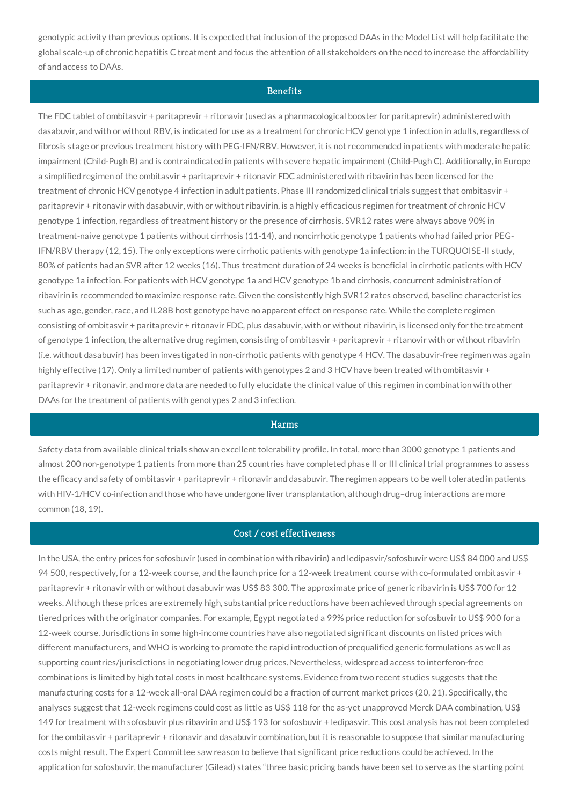genotypic activity than previous options. It is expected that inclusion of the proposed DAAs in the Model List will help facilitate the global scale-up of chronic hepatitis C treatment and focus the attention of all stakeholders on the need to increase the affordability of and access to DAAs.

#### **Benefits**

The FDC tablet of ombitasvir + paritaprevir + ritonavir (used as a pharmacological booster for paritaprevir) administered with dasabuvir, and with or without RBV, is indicated for use as a treatment for chronic HCV genotype 1 infection in adults, regardless of fibrosis stage or previous treatment history with PEG-IFN/RBV. However, it is not recommended in patients with moderate hepatic impairment (Child-Pugh B) and is contraindicated in patients with severe hepatic impairment (Child-Pugh C). Additionally, in Europe a simplified regimen of the ombitasvir + paritaprevir + ritonavir FDC administered with ribavirin has been licensed for the treatment of chronic HCV genotype 4 infection in adult patients. Phase III randomized clinical trials suggest that ombitasvir + paritaprevir + ritonavir with dasabuvir, with or without ribavirin, is a highly efficacious regimen for treatment of chronic HCV genotype 1 infection, regardless of treatment history or the presence of cirrhosis. SVR12 rates were always above 90% in treatment-naive genotype 1 patients without cirrhosis (11-14), and noncirrhotic genotype 1 patients who had failed prior PEG-IFN/RBV therapy (12, 15). The only exceptions were cirrhotic patients with genotype 1a infection: in the TURQUOISE-II study, 80% of patients had an SVR after 12 weeks (16). Thus treatment duration of 24 weeks is beneficial in cirrhotic patients with HCV genotype 1a infection. For patients with HCV genotype 1a and HCV genotype 1b and cirrhosis, concurrent administration of ribavirin is recommended to maximize response rate. Given the consistently high SVR12 rates observed, baseline characteristics such as age, gender, race, and IL28B host genotype have no apparent effect on response rate. While the complete regimen consisting of ombitasvir + paritaprevir + ritonavir FDC, plus dasabuvir, with or without ribavirin, is licensed only for the treatment of genotype 1 infection, the alternative drug regimen, consisting of ombitasvir + paritaprevir + ritanovir with or without ribavirin (i.e. without dasabuvir) has been investigated in non-cirrhotic patients with genotype 4 HCV. The dasabuvir-free regimen was again highly effective (17). Only a limited number of patients with genotypes 2 and 3 HCV have been treated with ombitasvir + paritaprevir + ritonavir, and more data are needed to fully elucidate the clinical value of this regimen in combination with other DAAs for the treatment of patients with genotypes 2 and 3 infection.

#### **Harms**

Safety data from available clinical trials show an excellent tolerability profile. In total, more than 3000 genotype 1 patients and almost 200 non-genotype 1 patients from more than 25 countries have completed phase II or III clinical trial programmes to assess the efficacy and safety of ombitasvir + paritaprevir + ritonavir and dasabuvir. The regimen appears to be well tolerated in patients with HIV-1/HCV co-infection and those who have undergone liver transplantation, although drug–drug interactions are more common (18, 19).

#### Cost / cost effectiveness

In the USA, the entry prices for sofosbuvir (used in combination with ribavirin) and ledipasvir/sofosbuvir were US\$ 84 000 and US\$ 94 500, respectively, for a 12-week course, and the launch price for a 12-week treatment course with co-formulated ombitasvir + paritaprevir + ritonavir with or without dasabuvir was US\$ 83 300. The approximate price of generic ribavirin is US\$ 700 for 12 weeks. Although these prices are extremely high, substantial price reductions have been achieved through special agreements on tiered prices with the originator companies. For example, Egypt negotiated a 99% price reduction for sofosbuvir to US\$ 900 for a 12-week course. Jurisdictions in some high-income countries have also negotiated significant discounts on listed prices with different manufacturers, and WHO is working to promote the rapid introduction of prequalified generic formulations as well as supporting countries/jurisdictions in negotiating lower drug prices. Nevertheless, widespread access to interferon-free combinations is limited by high total costs in most healthcare systems. Evidence from two recent studies suggests that the manufacturing costs for a 12-week all-oral DAA regimen could be a fraction of current market prices (20, 21). Specifically, the analyses suggest that 12-week regimens could cost as little as US\$ 118 for the as-yet unapproved Merck DAA combination, US\$ 149 for treatment with sofosbuvir plus ribavirin and US\$ 193 for sofosbuvir + ledipasvir. This cost analysis has not been completed for the ombitasvir + paritaprevir + ritonavir and dasabuvir combination, but it is reasonable to suppose that similar manufacturing costs might result. The Expert Committee saw reason to believe that significant price reductions could be achieved. In the application for sofosbuvir, the manufacturer (Gilead) states "three basic pricing bands have been set to serve as the starting point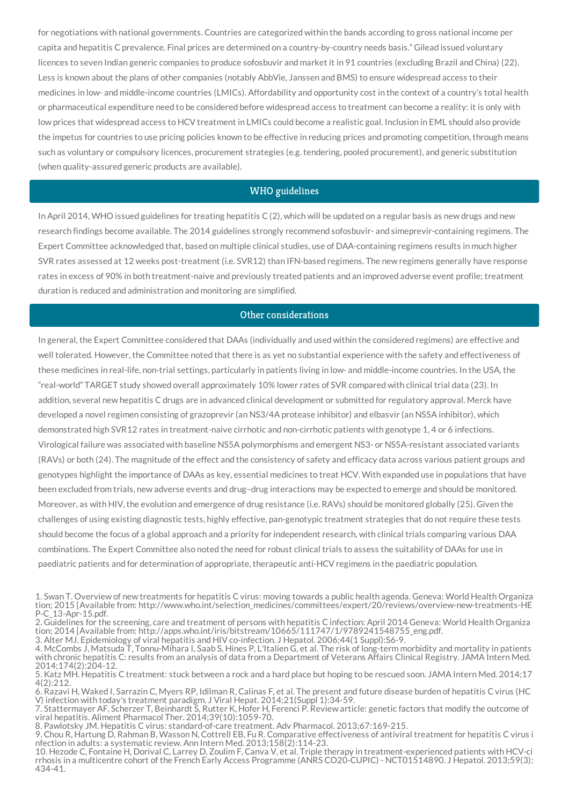for negotiations with national governments. Countries are categorized within the bands according to gross national income per capita and hepatitis C prevalence. Final prices are determined on a country-by-country needs basis." Gilead issued voluntary licences to seven Indian generic companies to produce sofosbuvir and market it in 91 countries (excluding Brazil and China) (22). Less is known about the plans of other companies (notably AbbVie, Janssen and BMS) to ensure widespread access to their medicines in low- and middle-income countries (LMICs). Affordability and opportunity cost in the context of a country's total health or pharmaceutical expenditure need to be considered before widespread access to treatment can become a reality: it is only with low prices that widespread access to HCV treatment in LMICs could become a realistic goal. Inclusion in EML should also provide the impetus for countries to use pricing policies known to be effective in reducing prices and promoting competition, through means such as voluntary or compulsory licences, procurement strategies (e.g. tendering, pooled procurement), and generic substitution (when quality-assured generic products are available).

#### WHO guidelines

In April 2014, WHO issued guidelines for treating hepatitis C (2), which will be updated on a regular basis as new drugs and new research findings become available. The 2014 guidelines strongly recommend sofosbuvir- and simeprevir-containing regimens. The Expert Committee acknowledged that, based on multiple clinical studies, use of DAA-containing regimens results in much higher SVR rates assessed at 12 weeks post-treatment (i.e. SVR12) than IFN-based regimens. The new regimens generally have response rates in excess of 90% in both treatment-naive and previously treated patients and an improved adverse event profile; treatment duration is reduced and administration and monitoring are simplified.

#### Other considerations

In general, the Expert Committee considered that DAAs (individually and used within the considered regimens) are effective and well tolerated. However, the Committee noted that there is as yet no substantial experience with the safety and effectiveness of these medicines in real-life, non-trial settings, particularly in patients living in low- and middle-income countries. In the USA, the "real-world" TARGET study showed overall approximately 10% lower rates of SVR compared with clinical trial data (23). In addition, several new hepatitis C drugs are in advanced clinical development or submitted for regulatory approval. Merck have developed a novel regimen consisting of grazoprevir (an NS3/4A protease inhibitor) and elbasvir (an NS5A inhibitor), which demonstrated high SVR12 rates in treatment-naive cirrhotic and non-cirrhotic patients with genotype 1, 4 or 6 infections. Virological failure was associated with baseline NS5A polymorphisms and emergent NS3- or NS5A-resistant associated variants (RAVs) or both (24). The magnitude of the effect and the consistency of safety and efficacy data across various patient groups and genotypes highlight the importance of DAAs as key, essential medicines to treat HCV. With expanded use in populations that have been excluded from trials, new adverse events and drug–drug interactions may be expected to emerge and should be monitored. Moreover, as with HIV, the evolution and emergence of drug resistance (i.e. RAVs) should be monitored globally (25). Given the challenges of using existing diagnostic tests, highly effective, pan-genotypic treatment strategies that do not require these tests should become the focus of a global approach and a priority for independent research, with clinical trials comparing various DAA combinations. The Expert Committee also noted the need for robust clinical trials to assess the suitability of DAAs for use in paediatric patients and for determination of appropriate, therapeutic anti-HCV regimens in the paediatric population.

<sup>1.</sup> Swan T. Overview of new treatments for hepatitis C virus: moving towards a public health agenda. Geneva: World Health Organiza tion; 2015 [Available from: http://www.who.int/selection\_medicines/committees/expert/20/reviews/overview-new-treatments-HE P-C\_13-Apr-15.pdf.

<sup>2.</sup> Guidelines for the screening, care and treatment of persons with hepatitis C infection: April 2014 Geneva: World Health Organiza tion; 2014 [Available from: http://apps.who.int/iris/bitstream/10665/111747/1/9789241548755\_eng.pdf.

<sup>3.</sup> Alter MJ. Epidemiology of viral hepatitis and HIV co-infection. J Hepatol. 2006;44(1 Suppl):S6-9.

<sup>4.</sup> McCombs J, Matsuda T, Tonnu-Mihara I, Saab S, Hines P, L'Italien G, et al. The risk of long-term morbidity and mortality in patients with chronic hepatitis C: results from an analysis of data from a Department of Veterans Affairs Clinical Registry. JAMA Intern Med. 2014;174(2):204-12.

<sup>5.</sup> Katz MH. Hepatitis C treatment: stuck between a rock and a hard place but hoping to be rescued soon. JAMA Intern Med. 2014;17 4(2):212.

<sup>6.</sup> Razavi H, Waked I, Sarrazin C, Myers RP, Idilman R, Calinas F, et al. The present and future disease burden of hepatitis C virus (HC V) infection with today's treatment paradigm. J Viral Hepat. 2014;21(Suppl 1):34-59.

<sup>7.</sup> Stattermayer AF, Scherzer T, Beinhardt S, Rutter K, Hofer H, Ferenci P. Review article: genetic factors that modify the outcome of viral hepatitis. Aliment Pharmacol Ther. 2014;39(10):1059-70.

<sup>8.</sup> Pawlotsky JM. Hepatitis C virus: standard-of-care treatment. Adv Pharmacol. 2013;67:169-215.

<sup>9.</sup> Chou R, Hartung D, Rahman B, Wasson N, Cottrell EB, Fu R. Comparative effectiveness of antiviral treatment for hepatitis C virus i nfection in adults: a systematic review. Ann Intern Med. 2013;158(2):114-23.

<sup>10.</sup> Hezode C, Fontaine H, Dorival C, Larrey D, Zoulim F, Canva V, et al. Triple therapy in treatment-experienced patients with HCV-ci rrhosis in a multicentre cohort of the French Early Access Programme (ANRS CO20-CUPIC) - NCT01514890. J Hepatol. 2013;59(3): 434-41.